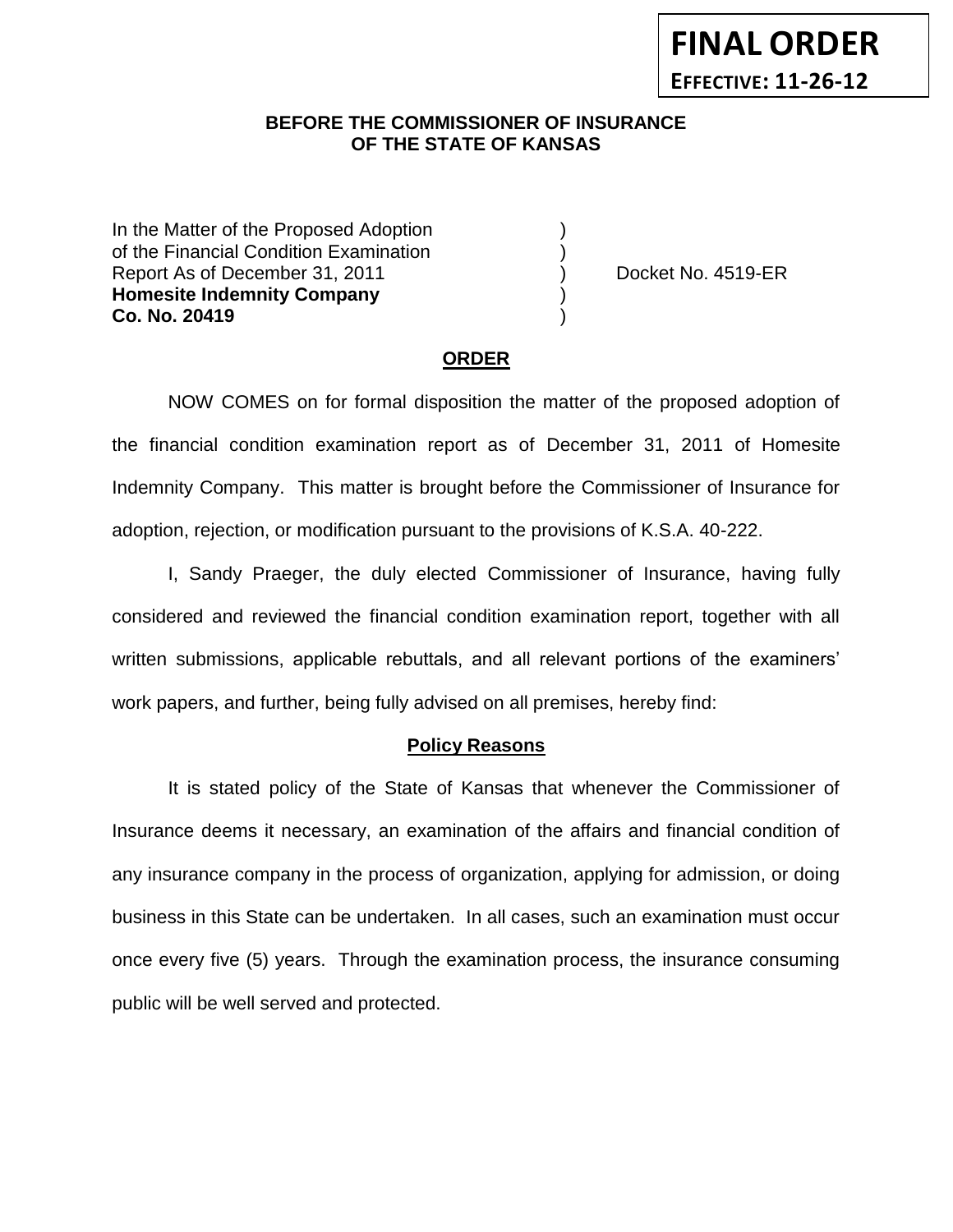## **BEFORE THE COMMISSIONER OF INSURANCE** *-12***OF THE STATE OF KANSAS**

In the Matter of the Proposed Adoption of the Financial Condition Examination ) Report As of December 31, 2011 (and Separate Left No. 4519-ER **Homesite Indemnity Company** ) **Co. No. 20419** )

## **ORDER**

NOW COMES on for formal disposition the matter of the proposed adoption of the financial condition examination report as of December 31, 2011 of Homesite Indemnity Company. This matter is brought before the Commissioner of Insurance for adoption, rejection, or modification pursuant to the provisions of K.S.A. 40-222.

I, Sandy Praeger, the duly elected Commissioner of Insurance, having fully considered and reviewed the financial condition examination report, together with all written submissions, applicable rebuttals, and all relevant portions of the examiners' work papers, and further, being fully advised on all premises, hereby find:

#### **Policy Reasons**

It is stated policy of the State of Kansas that whenever the Commissioner of Insurance deems it necessary, an examination of the affairs and financial condition of any insurance company in the process of organization, applying for admission, or doing business in this State can be undertaken. In all cases, such an examination must occur once every five (5) years. Through the examination process, the insurance consuming public will be well served and protected.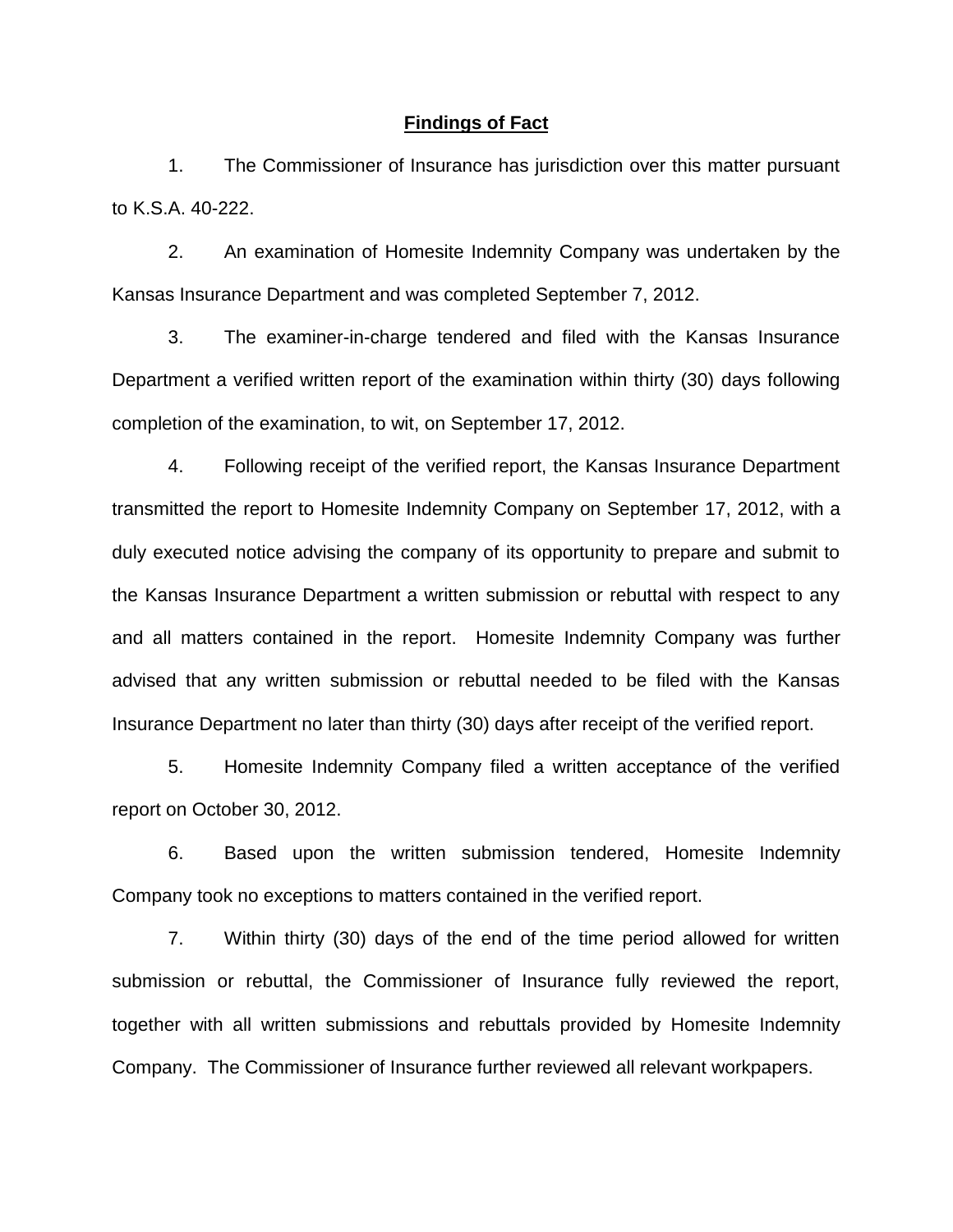#### **Findings of Fact**

1. The Commissioner of Insurance has jurisdiction over this matter pursuant to K.S.A. 40-222.

2. An examination of Homesite Indemnity Company was undertaken by the Kansas Insurance Department and was completed September 7, 2012.

3. The examiner-in-charge tendered and filed with the Kansas Insurance Department a verified written report of the examination within thirty (30) days following completion of the examination, to wit, on September 17, 2012.

4. Following receipt of the verified report, the Kansas Insurance Department transmitted the report to Homesite Indemnity Company on September 17, 2012, with a duly executed notice advising the company of its opportunity to prepare and submit to the Kansas Insurance Department a written submission or rebuttal with respect to any and all matters contained in the report. Homesite Indemnity Company was further advised that any written submission or rebuttal needed to be filed with the Kansas Insurance Department no later than thirty (30) days after receipt of the verified report.

5. Homesite Indemnity Company filed a written acceptance of the verified report on October 30, 2012.

6. Based upon the written submission tendered, Homesite Indemnity Company took no exceptions to matters contained in the verified report.

7. Within thirty (30) days of the end of the time period allowed for written submission or rebuttal, the Commissioner of Insurance fully reviewed the report, together with all written submissions and rebuttals provided by Homesite Indemnity Company. The Commissioner of Insurance further reviewed all relevant workpapers.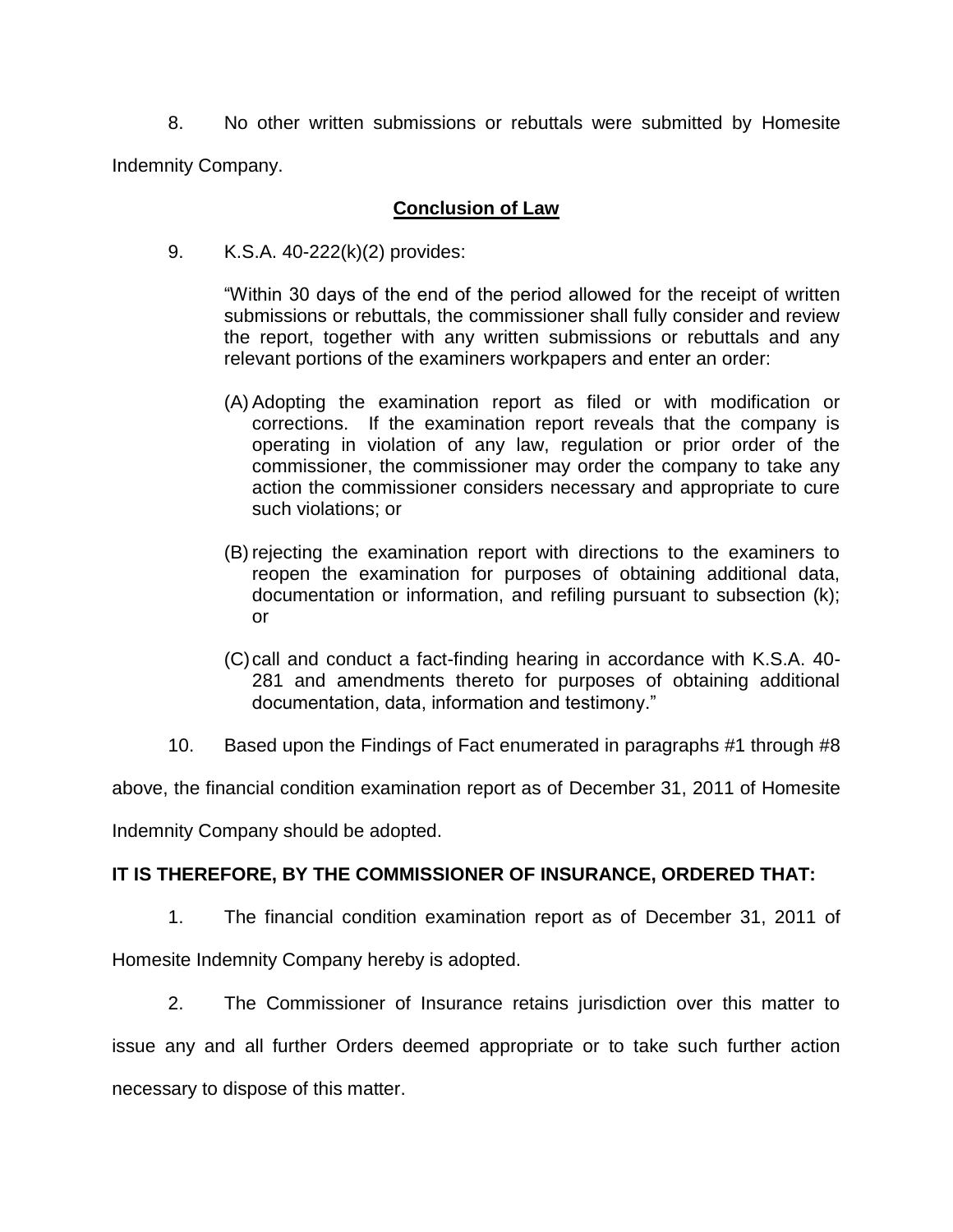8. No other written submissions or rebuttals were submitted by Homesite Indemnity Company.

# **Conclusion of Law**

9. K.S.A. 40-222(k)(2) provides:

"Within 30 days of the end of the period allowed for the receipt of written submissions or rebuttals, the commissioner shall fully consider and review the report, together with any written submissions or rebuttals and any relevant portions of the examiners workpapers and enter an order:

- (A) Adopting the examination report as filed or with modification or corrections. If the examination report reveals that the company is operating in violation of any law, regulation or prior order of the commissioner, the commissioner may order the company to take any action the commissioner considers necessary and appropriate to cure such violations; or
- (B) rejecting the examination report with directions to the examiners to reopen the examination for purposes of obtaining additional data, documentation or information, and refiling pursuant to subsection (k); or
- (C)call and conduct a fact-finding hearing in accordance with K.S.A. 40- 281 and amendments thereto for purposes of obtaining additional documentation, data, information and testimony."
- 10. Based upon the Findings of Fact enumerated in paragraphs #1 through #8

above, the financial condition examination report as of December 31, 2011 of Homesite

Indemnity Company should be adopted.

# **IT IS THEREFORE, BY THE COMMISSIONER OF INSURANCE, ORDERED THAT:**

1. The financial condition examination report as of December 31, 2011 of

Homesite Indemnity Company hereby is adopted.

2. The Commissioner of Insurance retains jurisdiction over this matter to issue any and all further Orders deemed appropriate or to take such further action necessary to dispose of this matter.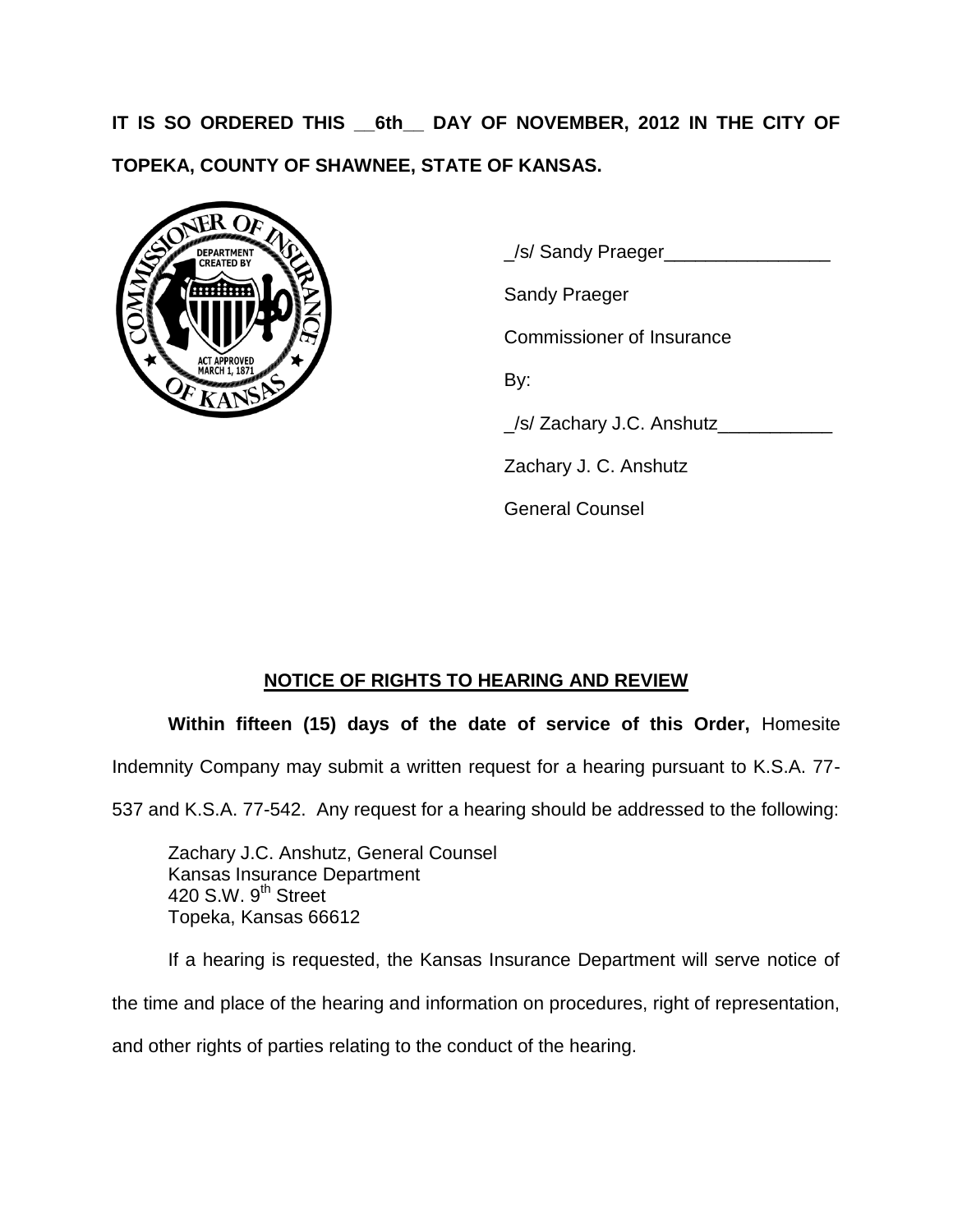**IT IS SO ORDERED THIS \_\_6th\_\_ DAY OF NOVEMBER, 2012 IN THE CITY OF TOPEKA, COUNTY OF SHAWNEE, STATE OF KANSAS.**



\_/s/ Sandy Praeger\_\_\_\_\_\_\_\_\_\_\_\_\_\_\_\_

Sandy Praeger

Commissioner of Insurance

By:

\_/s/ Zachary J.C. Anshutz\_\_\_\_\_\_\_\_\_\_\_

Zachary J. C. Anshutz

General Counsel

# **NOTICE OF RIGHTS TO HEARING AND REVIEW**

**Within fifteen (15) days of the date of service of this Order,** Homesite

Indemnity Company may submit a written request for a hearing pursuant to K.S.A. 77-

537 and K.S.A. 77-542. Any request for a hearing should be addressed to the following:

Zachary J.C. Anshutz, General Counsel Kansas Insurance Department 420 S.W. 9<sup>th</sup> Street Topeka, Kansas 66612

If a hearing is requested, the Kansas Insurance Department will serve notice of the time and place of the hearing and information on procedures, right of representation, and other rights of parties relating to the conduct of the hearing.